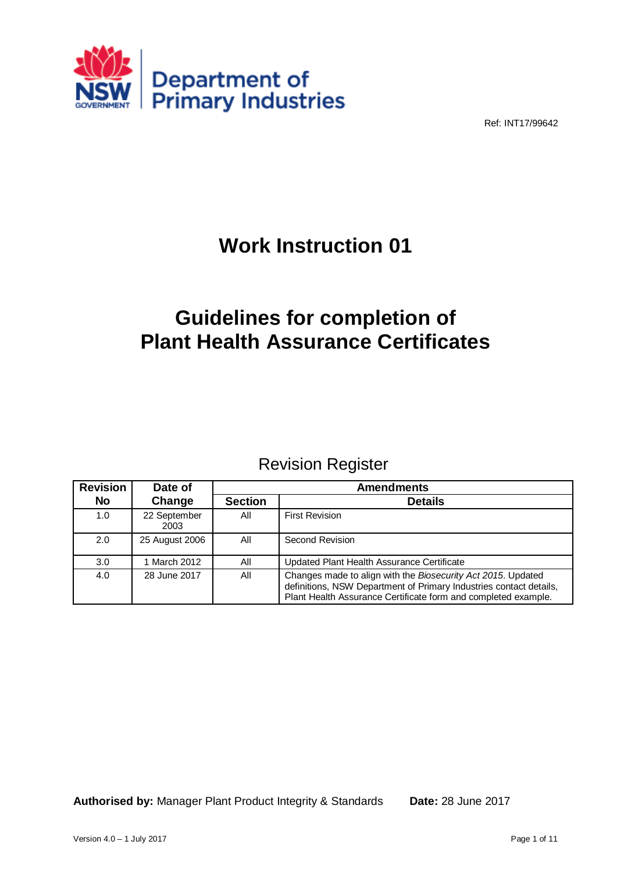

Ref: INT17/99642

# **Work Instruction 01**

# **Guidelines for completion of Plant Health Assurance Certificates**

# Revision Register

| <b>Revision</b> | Date of              | <b>Amendments</b> |                                                                                                                                                                                                      |  |
|-----------------|----------------------|-------------------|------------------------------------------------------------------------------------------------------------------------------------------------------------------------------------------------------|--|
| <b>No</b>       | Change               | <b>Section</b>    | <b>Details</b>                                                                                                                                                                                       |  |
| 1.0             | 22 September<br>2003 | All               | <b>First Revision</b>                                                                                                                                                                                |  |
| 2.0             | 25 August 2006       | All               | Second Revision                                                                                                                                                                                      |  |
| 3.0             | 1 March 2012         | All               | Updated Plant Health Assurance Certificate                                                                                                                                                           |  |
| 4.0             | 28 June 2017         | All               | Changes made to align with the Biosecurity Act 2015. Updated<br>definitions, NSW Department of Primary Industries contact details,<br>Plant Health Assurance Certificate form and completed example. |  |

**Authorised by:** Manager Plant Product Integrity & Standards **Date:** 28 June 2017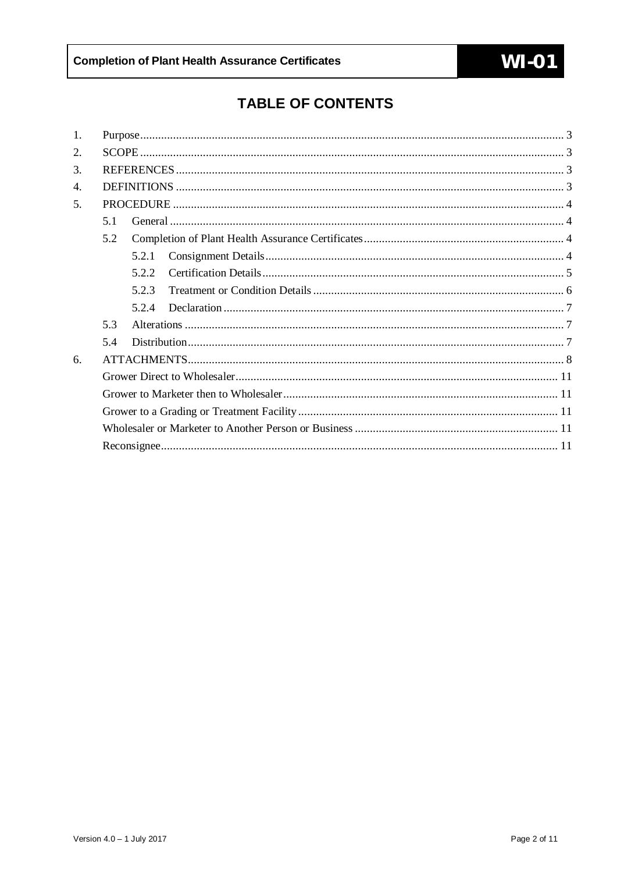# **TABLE OF CONTENTS**

| 1. |     |       |  |  |  |  |  |  |  |
|----|-----|-------|--|--|--|--|--|--|--|
| 2. |     |       |  |  |  |  |  |  |  |
| 3. |     |       |  |  |  |  |  |  |  |
| 4. |     |       |  |  |  |  |  |  |  |
| 5. |     |       |  |  |  |  |  |  |  |
|    | 5.1 |       |  |  |  |  |  |  |  |
|    | 5.2 |       |  |  |  |  |  |  |  |
|    |     | 5.2.1 |  |  |  |  |  |  |  |
|    |     | 522   |  |  |  |  |  |  |  |
|    |     | 5.2.3 |  |  |  |  |  |  |  |
|    |     | 5.2.4 |  |  |  |  |  |  |  |
|    | 5.3 |       |  |  |  |  |  |  |  |
|    | 5.4 |       |  |  |  |  |  |  |  |
| 6. |     |       |  |  |  |  |  |  |  |
|    |     |       |  |  |  |  |  |  |  |
|    |     |       |  |  |  |  |  |  |  |
|    |     |       |  |  |  |  |  |  |  |
|    |     |       |  |  |  |  |  |  |  |
|    |     |       |  |  |  |  |  |  |  |
|    |     |       |  |  |  |  |  |  |  |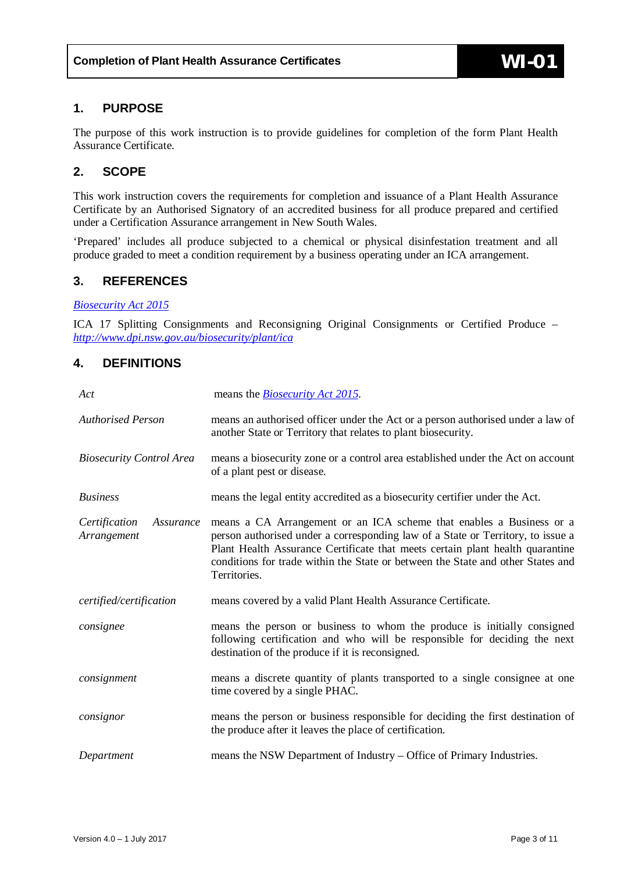### <span id="page-2-0"></span>**1. PURPOSE**

The purpose of this work instruction is to provide guidelines for completion of the form Plant Health Assurance Certificate.

## <span id="page-2-1"></span>**2. SCOPE**

This work instruction covers the requirements for completion and issuance of a Plant Health Assurance Certificate by an Authorised Signatory of an accredited business for all produce prepared and certified under a Certification Assurance arrangement in New South Wales.

'Prepared' includes all produce subjected to a chemical or physical disinfestation treatment and all produce graded to meet a condition requirement by a business operating under an ICA arrangement.

## <span id="page-2-2"></span>**3. REFERENCES**

#### *[Biosecurity Act 2015](http://www.legislation.nsw.gov.au/viewtop/inforce/act+24+2015+FIRST+0+N)*

ICA 17 Splitting Consignments and Reconsigning Original Consignments or Certified Produce – *<http://www.dpi.nsw.gov.au/biosecurity/plant/ica>*

### <span id="page-2-3"></span>**4. DEFINITIONS**

| Act                                       | means the <i>Biosecurity Act 2015</i> .                                                                                                                                                                                                                                                                                                     |  |  |  |  |
|-------------------------------------------|---------------------------------------------------------------------------------------------------------------------------------------------------------------------------------------------------------------------------------------------------------------------------------------------------------------------------------------------|--|--|--|--|
| <b>Authorised Person</b>                  | means an authorised officer under the Act or a person authorised under a law of<br>another State or Territory that relates to plant biosecurity.                                                                                                                                                                                            |  |  |  |  |
| <b>Biosecurity Control Area</b>           | means a biosecurity zone or a control area established under the Act on account<br>of a plant pest or disease.                                                                                                                                                                                                                              |  |  |  |  |
| <b>Business</b>                           | means the legal entity accredited as a biosecurity certifier under the Act.                                                                                                                                                                                                                                                                 |  |  |  |  |
| Certification<br>Assurance<br>Arrangement | means a CA Arrangement or an ICA scheme that enables a Business or a<br>person authorised under a corresponding law of a State or Territory, to issue a<br>Plant Health Assurance Certificate that meets certain plant health quarantine<br>conditions for trade within the State or between the State and other States and<br>Territories. |  |  |  |  |
| certified/certification                   | means covered by a valid Plant Health Assurance Certificate.                                                                                                                                                                                                                                                                                |  |  |  |  |
| consignee                                 | means the person or business to whom the produce is initially consigned<br>following certification and who will be responsible for deciding the next<br>destination of the produce if it is reconsigned.                                                                                                                                    |  |  |  |  |
| consignment                               | means a discrete quantity of plants transported to a single consignee at one<br>time covered by a single PHAC.                                                                                                                                                                                                                              |  |  |  |  |
| consignor                                 | means the person or business responsible for deciding the first destination of<br>the produce after it leaves the place of certification.                                                                                                                                                                                                   |  |  |  |  |
| Department                                | means the NSW Department of Industry - Office of Primary Industries.                                                                                                                                                                                                                                                                        |  |  |  |  |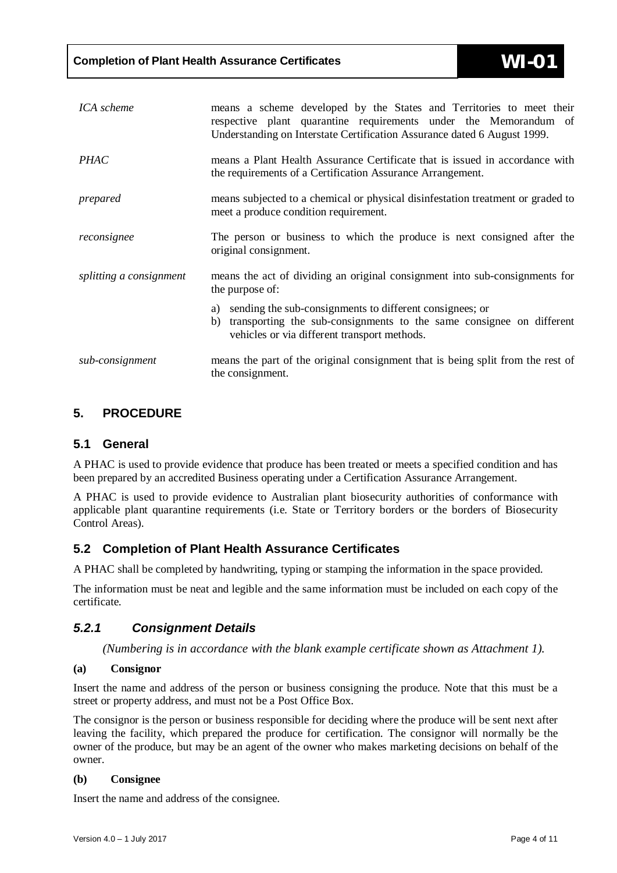| ICA scheme              | means a scheme developed by the States and Territories to meet their<br>respective plant quarantine requirements under the Memorandum of<br>Understanding on Interstate Certification Assurance dated 6 August 1999. |  |  |  |
|-------------------------|----------------------------------------------------------------------------------------------------------------------------------------------------------------------------------------------------------------------|--|--|--|
| <b>PHAC</b>             | means a Plant Health Assurance Certificate that is issued in accordance with<br>the requirements of a Certification Assurance Arrangement.                                                                           |  |  |  |
| prepared                | means subjected to a chemical or physical disinfestation treatment or graded to<br>meet a produce condition requirement.                                                                                             |  |  |  |
| reconsignee             | The person or business to which the produce is next consigned after the<br>original consignment.                                                                                                                     |  |  |  |
| splitting a consignment | means the act of dividing an original consignment into sub-consignments for<br>the purpose of:                                                                                                                       |  |  |  |
|                         | a) sending the sub-consignments to different consignees; or<br>transporting the sub-consignments to the same consignee on different<br>b)<br>vehicles or via different transport methods.                            |  |  |  |
| sub-consignment         | means the part of the original consignment that is being split from the rest of<br>the consignment.                                                                                                                  |  |  |  |

## <span id="page-3-0"></span>**5. PROCEDURE**

### <span id="page-3-1"></span>**5.1 General**

A PHAC is used to provide evidence that produce has been treated or meets a specified condition and has been prepared by an accredited Business operating under a Certification Assurance Arrangement.

A PHAC is used to provide evidence to Australian plant biosecurity authorities of conformance with applicable plant quarantine requirements (i.e. State or Territory borders or the borders of Biosecurity Control Areas).

### <span id="page-3-2"></span>**5.2 Completion of Plant Health Assurance Certificates**

A PHAC shall be completed by handwriting, typing or stamping the information in the space provided.

The information must be neat and legible and the same information must be included on each copy of the certificate.

### <span id="page-3-3"></span>*5.2.1 Consignment Details*

*(Numbering is in accordance with the blank example certificate shown as Attachment 1).*

#### **(a) Consignor**

Insert the name and address of the person or business consigning the produce. Note that this must be a street or property address, and must not be a Post Office Box.

The consignor is the person or business responsible for deciding where the produce will be sent next after leaving the facility, which prepared the produce for certification. The consignor will normally be the owner of the produce, but may be an agent of the owner who makes marketing decisions on behalf of the owner.

#### **(b) Consignee**

Insert the name and address of the consignee.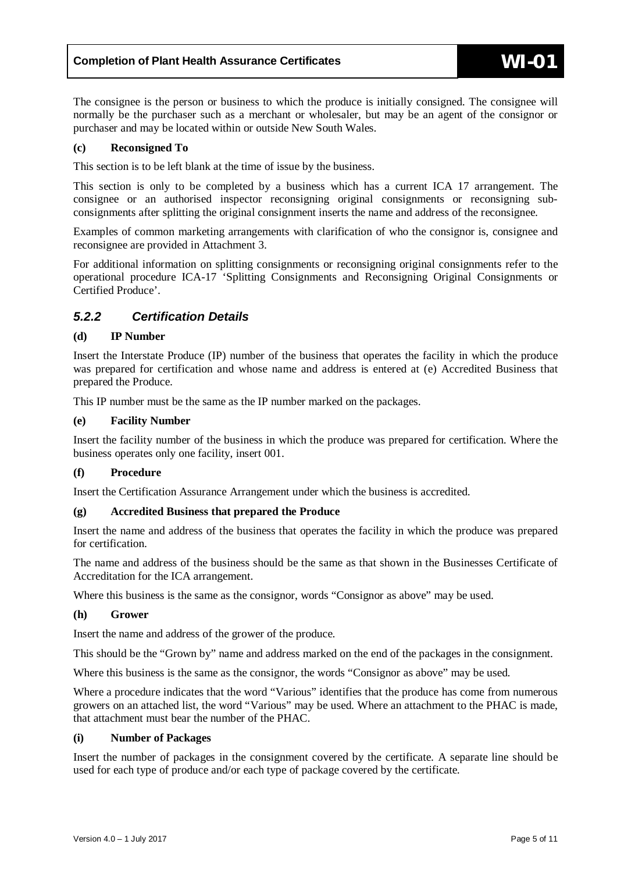The consignee is the person or business to which the produce is initially consigned. The consignee will normally be the purchaser such as a merchant or wholesaler, but may be an agent of the consignor or purchaser and may be located within or outside New South Wales.

#### **(c) Reconsigned To**

This section is to be left blank at the time of issue by the business.

This section is only to be completed by a business which has a current ICA 17 arrangement. The consignee or an authorised inspector reconsigning original consignments or reconsigning subconsignments after splitting the original consignment inserts the name and address of the reconsignee.

Examples of common marketing arrangements with clarification of who the consignor is, consignee and reconsignee are provided in Attachment 3.

For additional information on splitting consignments or reconsigning original consignments refer to the operational procedure ICA-17 'Splitting Consignments and Reconsigning Original Consignments or Certified Produce'.

### <span id="page-4-0"></span>*5.2.2 Certification Details*

#### **(d) IP Number**

Insert the Interstate Produce (IP) number of the business that operates the facility in which the produce was prepared for certification and whose name and address is entered at (e) Accredited Business that prepared the Produce.

This IP number must be the same as the IP number marked on the packages.

#### **(e) Facility Number**

Insert the facility number of the business in which the produce was prepared for certification. Where the business operates only one facility, insert 001.

#### **(f) Procedure**

Insert the Certification Assurance Arrangement under which the business is accredited.

#### **(g) Accredited Business that prepared the Produce**

Insert the name and address of the business that operates the facility in which the produce was prepared for certification.

The name and address of the business should be the same as that shown in the Businesses Certificate of Accreditation for the ICA arrangement.

Where this business is the same as the consignor, words "Consignor as above" may be used.

#### **(h) Grower**

Insert the name and address of the grower of the produce.

This should be the "Grown by" name and address marked on the end of the packages in the consignment.

Where this business is the same as the consignor, the words "Consignor as above" may be used.

Where a procedure indicates that the word "Various" identifies that the produce has come from numerous growers on an attached list, the word "Various" may be used. Where an attachment to the PHAC is made, that attachment must bear the number of the PHAC.

#### **(i) Number of Packages**

Insert the number of packages in the consignment covered by the certificate. A separate line should be used for each type of produce and/or each type of package covered by the certificate.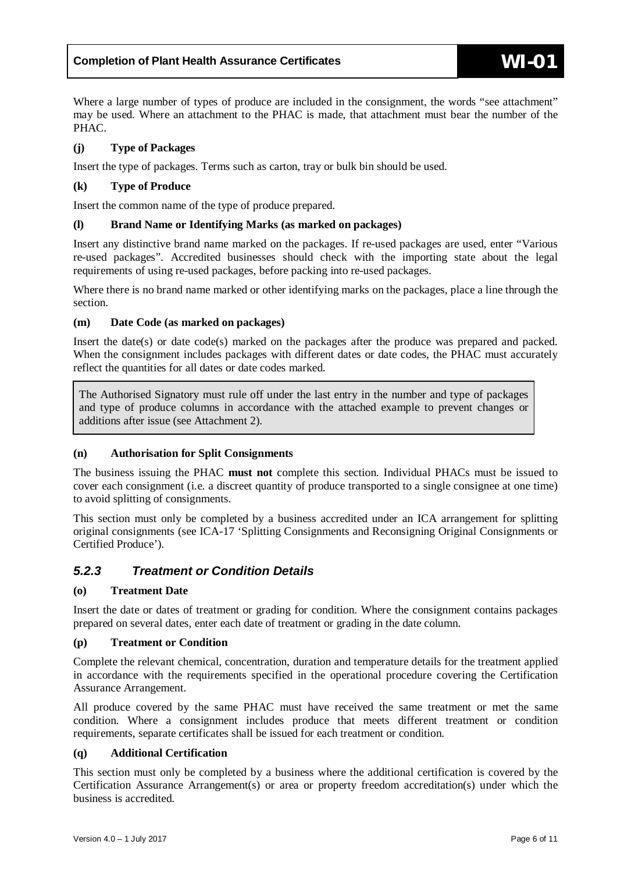Where a large number of types of produce are included in the consignment, the words "see attachment" may be used. Where an attachment to the PHAC is made, that attachment must bear the number of the PHAC.

#### **(j) Type of Packages**

Insert the type of packages. Terms such as carton, tray or bulk bin should be used.

#### **(k) Type of Produce**

Insert the common name of the type of produce prepared.

#### **(l) Brand Name or Identifying Marks (as marked on packages)**

Insert any distinctive brand name marked on the packages. If re-used packages are used, enter "Various re-used packages". Accredited businesses should check with the importing state about the legal requirements of using re-used packages, before packing into re-used packages.

Where there is no brand name marked or other identifying marks on the packages, place a line through the section.

#### **(m) Date Code (as marked on packages)**

Insert the date(s) or date code(s) marked on the packages after the produce was prepared and packed. When the consignment includes packages with different dates or date codes, the PHAC must accurately reflect the quantities for all dates or date codes marked.

The Authorised Signatory must rule off under the last entry in the number and type of packages and type of produce columns in accordance with the attached example to prevent changes or additions after issue (see Attachment 2).

#### **(n) Authorisation for Split Consignments**

The business issuing the PHAC **must not** complete this section. Individual PHACs must be issued to cover each consignment (i.e. a discreet quantity of produce transported to a single consignee at one time) to avoid splitting of consignments.

This section must only be completed by a business accredited under an ICA arrangement for splitting original consignments (see ICA-17 'Splitting Consignments and Reconsigning Original Consignments or Certified Produce').

### <span id="page-5-0"></span>*5.2.3 Treatment or Condition Details*

#### **(o) Treatment Date**

Insert the date or dates of treatment or grading for condition. Where the consignment contains packages prepared on several dates, enter each date of treatment or grading in the date column.

#### **(p) Treatment or Condition**

Complete the relevant chemical, concentration, duration and temperature details for the treatment applied in accordance with the requirements specified in the operational procedure covering the Certification Assurance Arrangement.

All produce covered by the same PHAC must have received the same treatment or met the same condition. Where a consignment includes produce that meets different treatment or condition requirements, separate certificates shall be issued for each treatment or condition.

#### **(q) Additional Certification**

This section must only be completed by a business where the additional certification is covered by the Certification Assurance Arrangement(s) or area or property freedom accreditation(s) under which the business is accredited.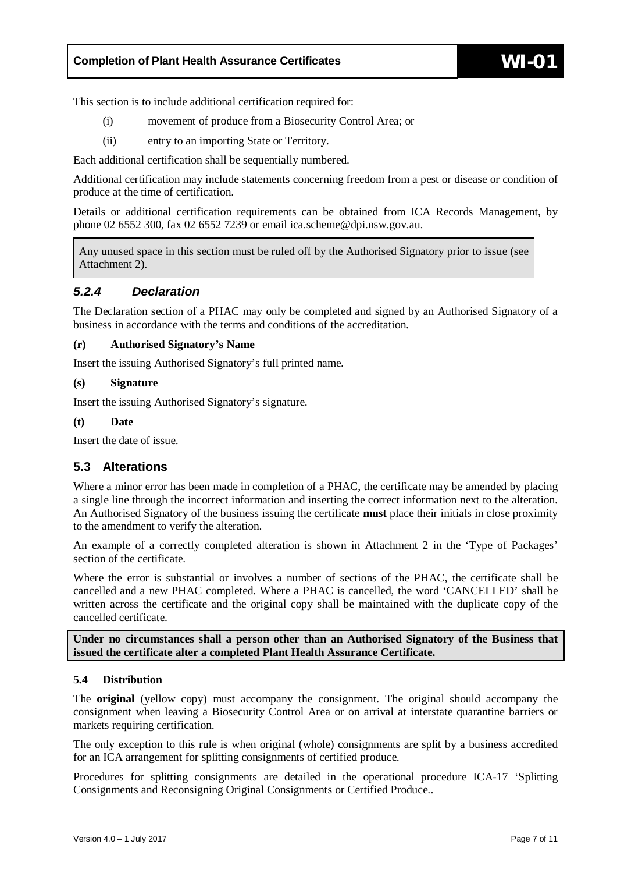This section is to include additional certification required for:

- (i) movement of produce from a Biosecurity Control Area; or
- (ii) entry to an importing State or Territory.

Each additional certification shall be sequentially numbered.

Additional certification may include statements concerning freedom from a pest or disease or condition of produce at the time of certification.

Details or additional certification requirements can be obtained from ICA Records Management, by phone 02 6552 300, fax 02 6552 7239 or email ica.scheme@dpi.nsw.gov.au.

Any unused space in this section must be ruled off by the Authorised Signatory prior to issue (see Attachment 2).

#### <span id="page-6-0"></span>*5.2.4 Declaration*

The Declaration section of a PHAC may only be completed and signed by an Authorised Signatory of a business in accordance with the terms and conditions of the accreditation.

#### **(r) Authorised Signatory's Name**

Insert the issuing Authorised Signatory's full printed name.

#### **(s) Signature**

Insert the issuing Authorised Signatory's signature.

#### **(t) Date**

Insert the date of issue.

#### <span id="page-6-1"></span>**5.3 Alterations**

Where a minor error has been made in completion of a PHAC, the certificate may be amended by placing a single line through the incorrect information and inserting the correct information next to the alteration. An Authorised Signatory of the business issuing the certificate **must** place their initials in close proximity to the amendment to verify the alteration.

An example of a correctly completed alteration is shown in Attachment 2 in the 'Type of Packages' section of the certificate.

Where the error is substantial or involves a number of sections of the PHAC, the certificate shall be cancelled and a new PHAC completed. Where a PHAC is cancelled, the word 'CANCELLED' shall be written across the certificate and the original copy shall be maintained with the duplicate copy of the cancelled certificate.

**Under no circumstances shall a person other than an Authorised Signatory of the Business that issued the certificate alter a completed Plant Health Assurance Certificate.**

#### <span id="page-6-2"></span>**5.4 Distribution**

The **original** (yellow copy) must accompany the consignment. The original should accompany the consignment when leaving a Biosecurity Control Area or on arrival at interstate quarantine barriers or markets requiring certification.

The only exception to this rule is when original (whole) consignments are split by a business accredited for an ICA arrangement for splitting consignments of certified produce.

Procedures for splitting consignments are detailed in the operational procedure ICA-17 'Splitting Consignments and Reconsigning Original Consignments or Certified Produce..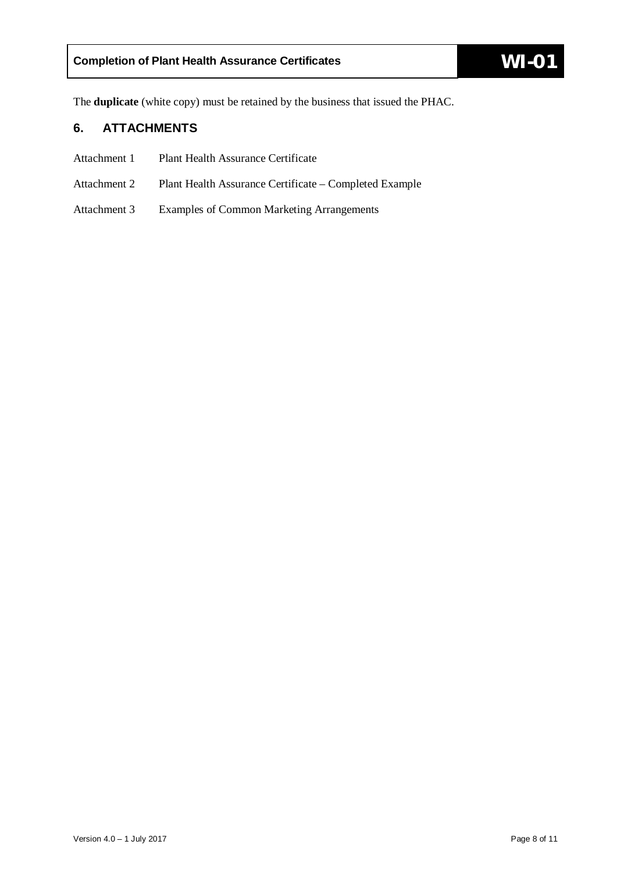The **duplicate** (white copy) must be retained by the business that issued the PHAC.

# <span id="page-7-0"></span>**6. ATTACHMENTS**

- Attachment 1 Plant Health Assurance Certificate
- Attachment 2 Plant Health Assurance Certificate Completed Example
- Attachment 3 Examples of Common Marketing Arrangements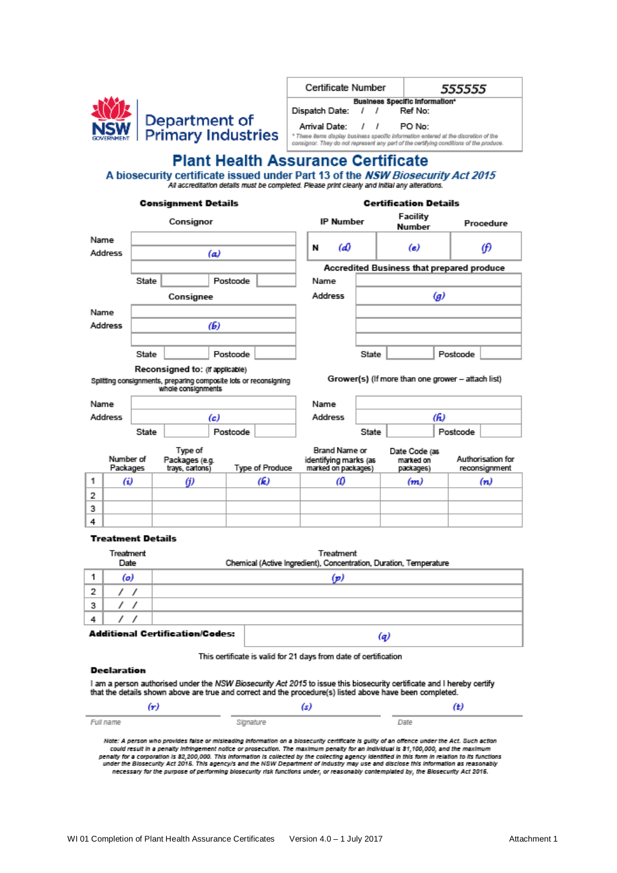

| Certificate Number                                                                                                                                                             |                                |  | 555555  |  |  |  |  |
|--------------------------------------------------------------------------------------------------------------------------------------------------------------------------------|--------------------------------|--|---------|--|--|--|--|
|                                                                                                                                                                                | Business Specific Information* |  |         |  |  |  |  |
| Dispatch Date:                                                                                                                                                                 | $\prime$ $\prime$              |  | Ref No: |  |  |  |  |
| Arrival Date: / /                                                                                                                                                              |                                |  | PO No:  |  |  |  |  |
| * These items display business specific information entered at the discretion of the<br>consignor. They do not represent any pert of the certifying conditions of the produce. |                                |  |         |  |  |  |  |

# **Plant Health Assurance Certificate**

A biosecurity certificate issued under Part 13 of the NSW Biosecurity Act 2015 All accreditation details must be completed. Please print clearly and initial any alterations.

#### **Consignment Details**

#### **Certification Details**

| Consignor |                       |       |                                                                                        |          |                 |         | <b>IP Number</b>                                                     |       | насшку<br>Number                                  |                  |          | Procedure                          |
|-----------|-----------------------|-------|----------------------------------------------------------------------------------------|----------|-----------------|---------|----------------------------------------------------------------------|-------|---------------------------------------------------|------------------|----------|------------------------------------|
| Name      |                       |       |                                                                                        |          |                 |         |                                                                      |       |                                                   |                  |          |                                    |
|           | Address               |       |                                                                                        | (a)      |                 | N       | (d)                                                                  |       | (e)                                               |                  |          | θ                                  |
|           |                       |       |                                                                                        |          |                 |         |                                                                      |       | Accredited Business that prepared produce         |                  |          |                                    |
|           |                       | State |                                                                                        | Postcode |                 | Name    |                                                                      |       |                                                   |                  |          |                                    |
|           |                       |       | Consignee                                                                              |          |                 | Address |                                                                      |       |                                                   | $\boldsymbol{g}$ |          |                                    |
| Name      |                       |       |                                                                                        |          |                 |         |                                                                      |       |                                                   |                  |          |                                    |
|           | Address               |       |                                                                                        | (6)      |                 |         |                                                                      |       |                                                   |                  |          |                                    |
|           |                       |       |                                                                                        |          |                 |         |                                                                      |       |                                                   |                  |          |                                    |
|           |                       | State |                                                                                        | Postcode |                 |         |                                                                      | State |                                                   |                  | Postcode |                                    |
|           |                       |       | Reconsigned to: (If applicable)                                                        |          |                 |         |                                                                      |       |                                                   |                  |          |                                    |
|           |                       |       | Spiltting consignments, preparing composite lots or reconsigning<br>whole consignments |          |                 |         |                                                                      |       | Grower(s) (If more than one grower - attach list) |                  |          |                                    |
| Name      |                       |       |                                                                                        |          |                 | Name    |                                                                      |       |                                                   |                  |          |                                    |
|           | Address               |       |                                                                                        | (c)      |                 | Address |                                                                      | (h)   |                                                   |                  |          |                                    |
|           |                       | State |                                                                                        | Postcode |                 |         |                                                                      | State |                                                   |                  | Postcode |                                    |
|           | Number of<br>Packages |       | Type of<br>Packages (e.g.<br>trays, cartons)                                           |          | Type of Produce |         | <b>Brand Name or</b><br>identifying marks (as<br>marked on packages) |       | Date Code (as<br>marked on<br>packages)           |                  |          | Authorisation for<br>reconsignment |
| 1         | (i)                   |       | G)                                                                                     |          | (k)             |         | ω                                                                    |       | (m)                                               |                  |          | (n)                                |
| 2         |                       |       |                                                                                        |          |                 |         |                                                                      |       |                                                   |                  |          |                                    |
| 3         |                       |       |                                                                                        |          |                 |         |                                                                      |       |                                                   |                  |          |                                    |
| 4         |                       |       |                                                                                        |          |                 |         |                                                                      |       |                                                   |                  |          |                                    |
|           | Topology and Butche   |       |                                                                                        |          |                 |         |                                                                      |       |                                                   |                  |          |                                    |

#### Treatment Details

|   | Treatment<br>Date | Treatment<br>Chemical (Active Ingredient), Concentration, Duration, Temperature |
|---|-------------------|---------------------------------------------------------------------------------|
|   | (o)               | (p)                                                                             |
| 2 |                   |                                                                                 |
| з |                   |                                                                                 |
|   |                   |                                                                                 |
|   |                   | <b>Additional Certification/Codes:</b><br>l a                                   |

This certificate is valid for 21 days from date of certification

#### Declaration

I am a person authorised under the NSW Biosecurity Act 2015 to issue this biosecurity certificate and I hereby certify that the details shown above are true and correct and the procedure(s) listed above have been completed.

| (m)       |           | (t)  |
|-----------|-----------|------|
| Full name | Signature | Date |

Note: A person who provides faise or misleading information on a biosecurity certificate is guilty of an offence under the Act. Such action could result in a genalty infringement notice or prosecution. The maximum genalty for an individual is \$1,100,000, and the maximum consider the State of the State of the Constitution in the Collecting agency identified in this form in relation to its functions.<br>In the State of the State of the Collecting agency is collected by the collecting agency id necessary for the purpose of performing biosecurity risk functions under, or reasonably contemplated by, the Biosecurity Act 2016.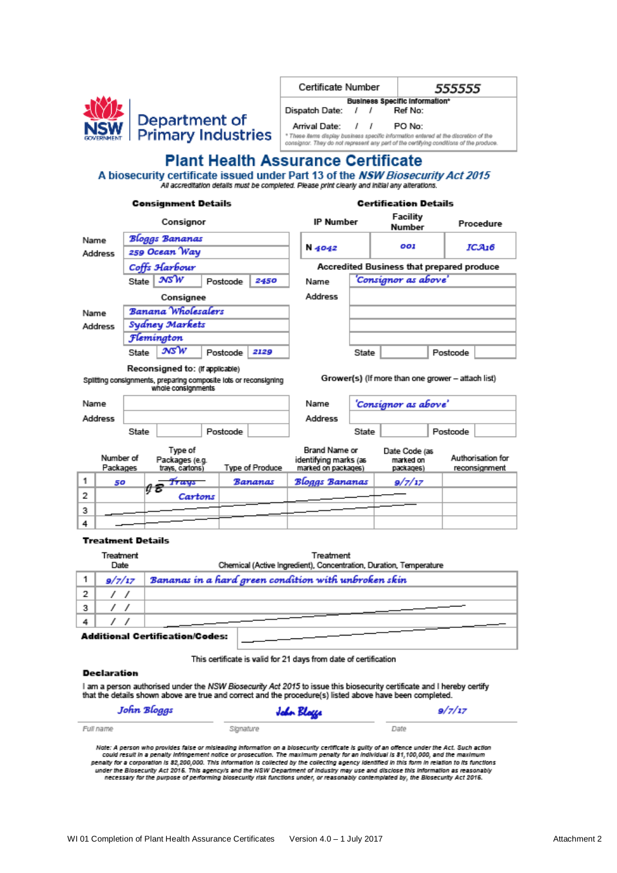

| Certificate Number                    |  |  | 555555                                                                                                                                                                         |  |  |  |
|---------------------------------------|--|--|--------------------------------------------------------------------------------------------------------------------------------------------------------------------------------|--|--|--|
| <b>Business Specific Information*</b> |  |  |                                                                                                                                                                                |  |  |  |
| Dispatch Date: / /                    |  |  | Ref No:                                                                                                                                                                        |  |  |  |
| Arrival Date: / /                     |  |  | PO No:                                                                                                                                                                         |  |  |  |
|                                       |  |  | * These items display business specific information entered at the discretion of the<br>consignor. They do not represent any pert of the certifying conditions of the produce. |  |  |  |

# **Plant Health Assurance Certificate**

A biosecurity certificate issued under Part 13 of the NSW Biosecurity Act 2015 All accreditation defails must be completed. Please print clearly and initial any alterations.

| Consignment Details |                       |               |                                                                                        |  | Certification Details |                 |                                                               |       |                                                   |          |                                    |
|---------------------|-----------------------|---------------|----------------------------------------------------------------------------------------|--|-----------------------|-----------------|---------------------------------------------------------------|-------|---------------------------------------------------|----------|------------------------------------|
|                     |                       |               | Consignor                                                                              |  |                       |                 | <b>IP Number</b>                                              |       | Facility<br>Number                                |          | Procedure                          |
| Name                |                       |               | Bloggs Bananas                                                                         |  |                       |                 |                                                               |       |                                                   |          |                                    |
|                     | Address               | 259 Ocean Way |                                                                                        |  |                       | N 4042          |                                                               | 001   |                                                   | ICA16    |                                    |
|                     |                       |               | Coffs Harbour                                                                          |  |                       |                 |                                                               |       | Accredited Business that prepared produce         |          |                                    |
|                     |                       | State         | 305W                                                                                   |  | Postcode              | 2450            | Name                                                          |       | 'Consignor as above'                              |          |                                    |
|                     |                       |               | Consignee                                                                              |  |                       |                 | Address                                                       |       |                                                   |          |                                    |
| Name                |                       |               | Banana Wholesalers                                                                     |  |                       |                 |                                                               |       |                                                   |          |                                    |
|                     | Address               |               | Sydney Markets                                                                         |  |                       |                 |                                                               |       |                                                   |          |                                    |
|                     |                       |               | Flemington                                                                             |  |                       |                 |                                                               |       |                                                   |          |                                    |
|                     |                       | State         | мsW                                                                                    |  | Postcode              | 2129            |                                                               | State |                                                   | Postcode |                                    |
|                     |                       |               | Reconsigned to: (If applicable)                                                        |  |                       |                 |                                                               |       |                                                   |          |                                    |
|                     |                       |               | Spiltting consignments, preparing composite lots or reconsigning<br>whole consignments |  |                       |                 |                                                               |       | Grower(s) (If more than one grower - attach list) |          |                                    |
| Name                |                       |               |                                                                                        |  |                       |                 | Name                                                          |       | 'Consignor as above'                              |          |                                    |
|                     | Address               |               |                                                                                        |  |                       |                 | Address                                                       |       |                                                   |          |                                    |
|                     |                       | State         |                                                                                        |  | Postcode              |                 |                                                               | State |                                                   | Postcode |                                    |
|                     | Number of<br>Packages |               | Type of<br>Packages (e.g.<br>travs, cartons)                                           |  |                       | Type of Produce | Brand Name or<br>identifying marks (as<br>marked on packages) |       | Date Code (as<br>marked on<br>packages)           |          | Authorisation for<br>reconsignment |
| 1                   | 50                    |               | Trays                                                                                  |  |                       | Bananas         | Bloggs Bananas                                                |       | 9/7/17                                            |          |                                    |
| 2                   |                       |               | ą£<br>Cartons                                                                          |  |                       |                 |                                                               |       |                                                   |          |                                    |
| 3                   |                       |               |                                                                                        |  |                       |                 |                                                               |       |                                                   |          |                                    |
| 4                   |                       |               |                                                                                        |  |                       |                 |                                                               |       |                                                   |          |                                    |

#### **Treatment Details**

|   | Treatment<br>Date | Treatment<br>Chemical (Active Ingredient), Concentration, Duration, Temperature |
|---|-------------------|---------------------------------------------------------------------------------|
|   | 9/7/17            | Bananas in a hard green condition with unbroken skin                            |
| 2 |                   |                                                                                 |
| 3 |                   |                                                                                 |
|   |                   |                                                                                 |
|   |                   | Additional Contification (Codor)                                                |

#### Additional Certification/Codes:

This certificate is valid for 21 days from date of certification

#### **Declaration**

I am a person authorised under the NSW Biosecurity Act 2015 to issue this biosecurity certificate and I hereby certify that the details shown above are true and correct and the procedure(s) listed above have been completed.

| John Bloggs | John Blogge | 9/7/17 |  |  |
|-------------|-------------|--------|--|--|
| Full name   | Signature   | Date   |  |  |

Note: A person who provides faise or misleading information on a biosecurity certificate is guilty of an offence under the Act. Such action<br>could result in a penalty infringement notice or prosecution. The maximum penalty penalty for a corporation is \$2,200,000. This information is collected by the collecting agency identified in this form in relation to its functions under the Biosecurity Act 2015. This agency/s and the NSW Department of Industry may use and disclose this Information as reasonably<br>necessary for the purpose of performing biosecurity risk functions under, or reasonably c